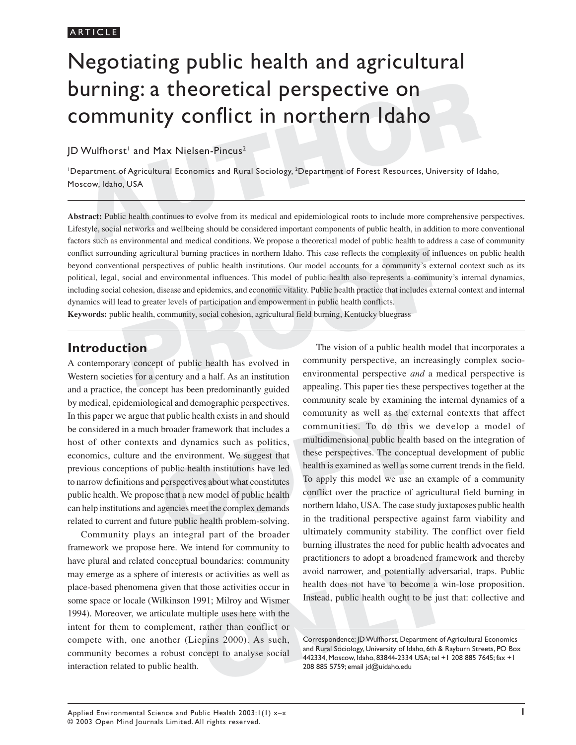#### ARTICLE

# **Urning: a theoretical perspective on**<br> **Ommunity conflict in northern Idaho**<br>
Wulfhorst' and Max Nielsen-Pincus<sup>2</sup><br>
Partment of Agricultural Economics and Rural Sociology, <sup>2</sup>Department of Forest Resources, University of Negotiating public health and agricultural burning: a theoretical perspective on community conflict in northern Idaho

#### JD Wulfhorst' and Max Nielsen-Pincus<sup>2</sup>

'Department of Agricultural Economics and Rural Sociology, <sup>2</sup>Department of Forest Resources, University of Idaho, Moscow, Idaho, USA

ding agricultural burning practices in northern Idaho. This case reflects the complexity of infl<br>
ional perspectives of public health institutions. Our model accounts for a community's exte<br>
social and environmental influe **Abstract:** Public health continues to evolve from its medical and epidemiological roots to include more comprehensive perspectives. Lifestyle, social networks and wellbeing should be considered important components of public health, in addition to more conventional factors such as environmental and medical conditions. We propose a theoretical model of public health to address a case of community conflict surrounding agricultural burning practices in northern Idaho. This case reflects the complexity of influences on public health beyond conventional perspectives of public health institutions. Our model accounts for a community's external context such as its political, legal, social and environmental influences. This model of public health also represents a community's internal dynamics, including social cohesion, disease and epidemics, and economic vitality. Public health practice that includes external context and internal dynamics will lead to greater levels of participation and empowerment in public health conflicts.

**Keywords:** public health, community, social cohesion, agricultural field burning, Kentucky bluegrass

#### **Introduction**

A contemporary concept of public health has evolved in Western societies for a century and a half. As an institution and a practice, the concept has been predominantly guided by medical, epidemiological and demographic perspectives. In this paper we argue that public health exists in and should be considered in a much broader framework that includes a host of other contexts and dynamics such as politics, economics, culture and the environment. We suggest that previous conceptions of public health institutions have led to narrow definitions and perspectives about what constitutes public health. We propose that a new model of public health can help institutions and agencies meet the complex demands related to current and future public health problem-solving.

boundaries: community<br>
sometrivities as well as<br>
avoid narrower, and potentially adversa<br>
those activities occur in<br>
lealth does not have to become a win-<br>
Jnstead, public health ought to be just the<br>
litiple uses here wit Community plays an integral part of the broader framework we propose here. We intend for community to have plural and related conceptual boundaries: community may emerge as a sphere of interests or activities as well as place-based phenomena given that those activities occur in some space or locale (Wilkinson 1991; Milroy and Wismer 1994). Moreover, we articulate multiple uses here with the intent for them to complement, rather than conflict or compete with, one another (Liepins 2000). As such, community becomes a robust concept to analyse social interaction related to public health.

at public health exists in and should<br>to community as well as the externed broader framework that includes a<br>to communities. To do this we<br>and dynamics such as politics,<br>these perspectives. The concept<br>is the environment. The vision of a public health model that incorporates a community perspective, an increasingly complex socioenvironmental perspective *and* a medical perspective is appealing. This paper ties these perspectives together at the community scale by examining the internal dynamics of a community as well as the external contexts that affect communities. To do this we develop a model of multidimensional public health based on the integration of these perspectives. The conceptual development of public health is examined as well as some current trends in the field. To apply this model we use an example of a community conflict over the practice of agricultural field burning in northern Idaho, USA. The case study juxtaposes public health in the traditional perspective against farm viability and ultimately community stability. The conflict over field burning illustrates the need for public health advocates and practitioners to adopt a broadened framework and thereby avoid narrower, and potentially adversarial, traps. Public health does not have to become a win-lose proposition. Instead, public health ought to be just that: collective and

Correspondence: JD Wulfhorst, Department of Agricultural Economics and Rural Sociology, University of Idaho, 6th & Rayburn Streets, PO Box 442334, Moscow, Idaho, 83844-2334 USA; tel +1 208 885 7645; fax +1 208 885 5759; email jd@uidaho.edu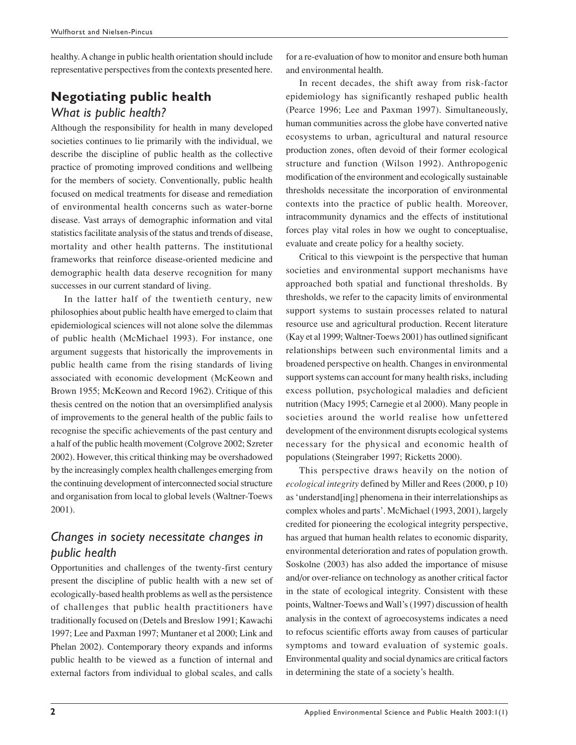healthy. A change in public health orientation should include representative perspectives from the contexts presented here.

## **Negotiating public health** *What is public health?*

Although the responsibility for health in many developed societies continues to lie primarily with the individual, we describe the discipline of public health as the collective practice of promoting improved conditions and wellbeing for the members of society. Conventionally, public health focused on medical treatments for disease and remediation of environmental health concerns such as water-borne disease. Vast arrays of demographic information and vital statistics facilitate analysis of the status and trends of disease, mortality and other health patterns. The institutional frameworks that reinforce disease-oriented medicine and demographic health data deserve recognition for many successes in our current standard of living.

In the latter half of the twentieth century, new philosophies about public health have emerged to claim that epidemiological sciences will not alone solve the dilemmas of public health (McMichael 1993). For instance, one argument suggests that historically the improvements in public health came from the rising standards of living associated with economic development (McKeown and Brown 1955; McKeown and Record 1962). Critique of this thesis centred on the notion that an oversimplified analysis of improvements to the general health of the public fails to recognise the specific achievements of the past century and a half of the public health movement (Colgrove 2002; Szreter 2002). However, this critical thinking may be overshadowed by the increasingly complex health challenges emerging from the continuing development of interconnected social structure and organisation from local to global levels (Waltner-Toews 2001).

## *Changes in society necessitate changes in public health*

Opportunities and challenges of the twenty-first century present the discipline of public health with a new set of ecologically-based health problems as well as the persistence of challenges that public health practitioners have traditionally focused on (Detels and Breslow 1991; Kawachi 1997; Lee and Paxman 1997; Muntaner et al 2000; Link and Phelan 2002). Contemporary theory expands and informs public health to be viewed as a function of internal and external factors from individual to global scales, and calls

In recent decades, the shift away from risk-factor epidemiology has significantly reshaped public health (Pearce 1996; Lee and Paxman 1997). Simultaneously, human communities across the globe have converted native ecosystems to urban, agricultural and natural resource production zones, often devoid of their former ecological structure and function (Wilson 1992). Anthropogenic modification of the environment and ecologically sustainable thresholds necessitate the incorporation of environmental contexts into the practice of public health. Moreover, intracommunity dynamics and the effects of institutional forces play vital roles in how we ought to conceptualise, evaluate and create policy for a healthy society.

Critical to this viewpoint is the perspective that human societies and environmental support mechanisms have approached both spatial and functional thresholds. By thresholds, we refer to the capacity limits of environmental support systems to sustain processes related to natural resource use and agricultural production. Recent literature (Kay et al 1999; Waltner-Toews 2001) has outlined significant relationships between such environmental limits and a broadened perspective on health. Changes in environmental support systems can account for many health risks, including excess pollution, psychological maladies and deficient nutrition (Macy 1995; Carnegie et al 2000). Many people in societies around the world realise how unfettered development of the environment disrupts ecological systems necessary for the physical and economic health of populations (Steingraber 1997; Ricketts 2000).

This perspective draws heavily on the notion of *ecological integrity* defined by Miller and Rees (2000, p 10) as 'understand[ing] phenomena in their interrelationships as complex wholes and parts'. McMichael (1993, 2001), largely credited for pioneering the ecological integrity perspective, has argued that human health relates to economic disparity, environmental deterioration and rates of population growth. Soskolne (2003) has also added the importance of misuse and/or over-reliance on technology as another critical factor in the state of ecological integrity. Consistent with these points, Waltner-Toews and Wall's (1997) discussion of health analysis in the context of agroecosystems indicates a need to refocus scientific efforts away from causes of particular symptoms and toward evaluation of systemic goals. Environmental quality and social dynamics are critical factors in determining the state of a society's health.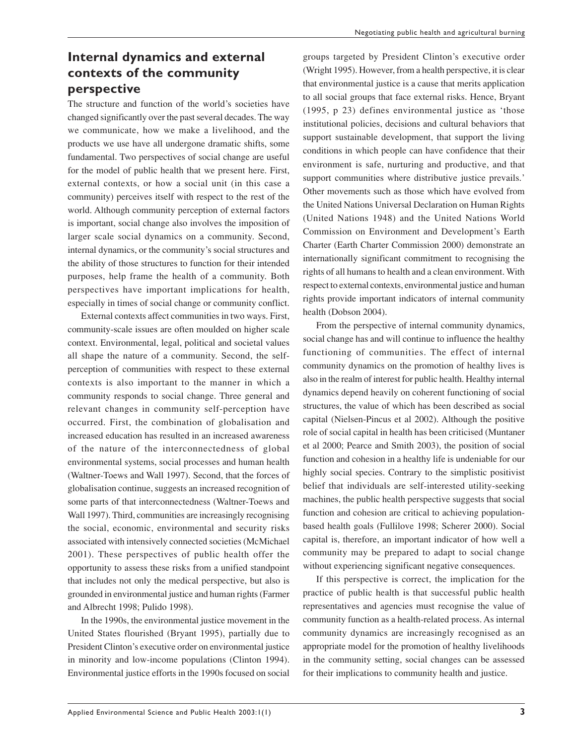## **Internal dynamics and external contexts of the community perspective**

The structure and function of the world's societies have changed significantly over the past several decades. The way we communicate, how we make a livelihood, and the products we use have all undergone dramatic shifts, some fundamental. Two perspectives of social change are useful for the model of public health that we present here. First, external contexts, or how a social unit (in this case a community) perceives itself with respect to the rest of the world. Although community perception of external factors is important, social change also involves the imposition of larger scale social dynamics on a community. Second, internal dynamics, or the community's social structures and the ability of those structures to function for their intended purposes, help frame the health of a community. Both perspectives have important implications for health, especially in times of social change or community conflict.

External contexts affect communities in two ways. First, community-scale issues are often moulded on higher scale context. Environmental, legal, political and societal values all shape the nature of a community. Second, the selfperception of communities with respect to these external contexts is also important to the manner in which a community responds to social change. Three general and relevant changes in community self-perception have occurred. First, the combination of globalisation and increased education has resulted in an increased awareness of the nature of the interconnectedness of global environmental systems, social processes and human health (Waltner-Toews and Wall 1997). Second, that the forces of globalisation continue, suggests an increased recognition of some parts of that interconnectedness (Waltner-Toews and Wall 1997). Third, communities are increasingly recognising the social, economic, environmental and security risks associated with intensively connected societies (McMichael 2001). These perspectives of public health offer the opportunity to assess these risks from a unified standpoint that includes not only the medical perspective, but also is grounded in environmental justice and human rights (Farmer and Albrecht 1998; Pulido 1998).

In the 1990s, the environmental justice movement in the United States flourished (Bryant 1995), partially due to President Clinton's executive order on environmental justice in minority and low-income populations (Clinton 1994). Environmental justice efforts in the 1990s focused on social

groups targeted by President Clinton's executive order (Wright 1995). However, from a health perspective, it is clear that environmental justice is a cause that merits application to all social groups that face external risks. Hence, Bryant (1995, p 23) defines environmental justice as 'those institutional policies, decisions and cultural behaviors that support sustainable development, that support the living conditions in which people can have confidence that their environment is safe, nurturing and productive, and that support communities where distributive justice prevails.' Other movements such as those which have evolved from the United Nations Universal Declaration on Human Rights (United Nations 1948) and the United Nations World Commission on Environment and Development's Earth Charter (Earth Charter Commission 2000) demonstrate an internationally significant commitment to recognising the rights of all humans to health and a clean environment. With respect to external contexts, environmental justice and human rights provide important indicators of internal community health (Dobson 2004).

From the perspective of internal community dynamics, social change has and will continue to influence the healthy functioning of communities. The effect of internal community dynamics on the promotion of healthy lives is also in the realm of interest for public health. Healthy internal dynamics depend heavily on coherent functioning of social structures, the value of which has been described as social capital (Nielsen-Pincus et al 2002). Although the positive role of social capital in health has been criticised (Muntaner et al 2000; Pearce and Smith 2003), the position of social function and cohesion in a healthy life is undeniable for our highly social species. Contrary to the simplistic positivist belief that individuals are self-interested utility-seeking machines, the public health perspective suggests that social function and cohesion are critical to achieving populationbased health goals (Fullilove 1998; Scherer 2000). Social capital is, therefore, an important indicator of how well a community may be prepared to adapt to social change without experiencing significant negative consequences.

If this perspective is correct, the implication for the practice of public health is that successful public health representatives and agencies must recognise the value of community function as a health-related process. As internal community dynamics are increasingly recognised as an appropriate model for the promotion of healthy livelihoods in the community setting, social changes can be assessed for their implications to community health and justice.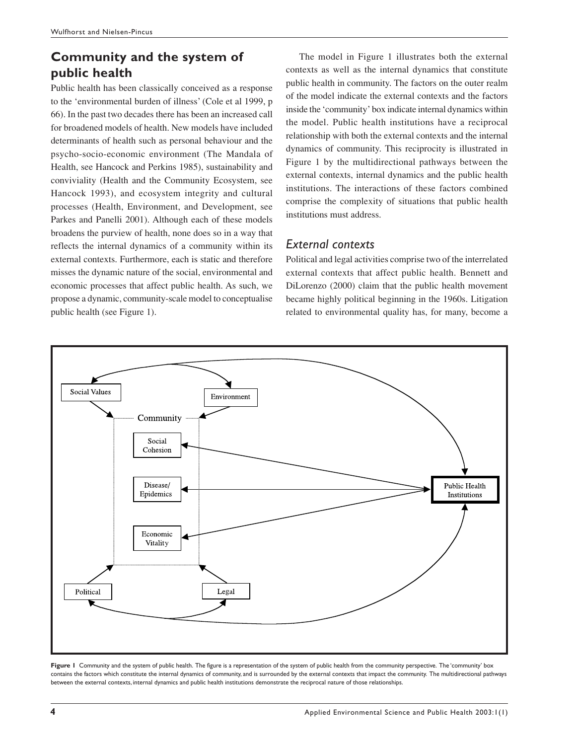## **Community and the system of public health**

Public health has been classically conceived as a response to the 'environmental burden of illness' (Cole et al 1999, p 66). In the past two decades there has been an increased call for broadened models of health. New models have included determinants of health such as personal behaviour and the psycho-socio-economic environment (The Mandala of Health, see Hancock and Perkins 1985), sustainability and conviviality (Health and the Community Ecosystem, see Hancock 1993), and ecosystem integrity and cultural processes (Health, Environment, and Development, see Parkes and Panelli 2001). Although each of these models broadens the purview of health, none does so in a way that reflects the internal dynamics of a community within its external contexts. Furthermore, each is static and therefore misses the dynamic nature of the social, environmental and economic processes that affect public health. As such, we propose a dynamic, community-scale model to conceptualise public health (see Figure 1).

The model in Figure 1 illustrates both the external contexts as well as the internal dynamics that constitute public health in community. The factors on the outer realm of the model indicate the external contexts and the factors inside the 'community' box indicate internal dynamics within the model. Public health institutions have a reciprocal relationship with both the external contexts and the internal dynamics of community. This reciprocity is illustrated in Figure 1 by the multidirectional pathways between the external contexts, internal dynamics and the public health institutions. The interactions of these factors combined comprise the complexity of situations that public health institutions must address.

### *External contexts*

Political and legal activities comprise two of the interrelated external contexts that affect public health. Bennett and DiLorenzo (2000) claim that the public health movement became highly political beginning in the 1960s. Litigation related to environmental quality has, for many, become a



Figure 1 Community and the system of public health. The figure is a representation of the system of public health from the community perspective. The 'community' box contains the factors which constitute the internal dynamics of community, and is surrounded by the external contexts that impact the community. The multidirectional pathways between the external contexts, internal dynamics and public health institutions demonstrate the reciprocal nature of those relationships.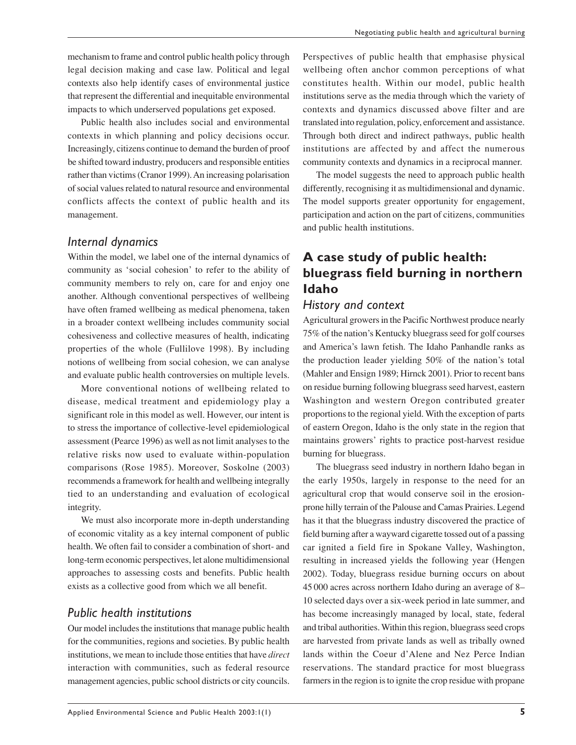mechanism to frame and control public health policy through legal decision making and case law. Political and legal contexts also help identify cases of environmental justice that represent the differential and inequitable environmental impacts to which underserved populations get exposed.

Public health also includes social and environmental contexts in which planning and policy decisions occur. Increasingly, citizens continue to demand the burden of proof be shifted toward industry, producers and responsible entities rather than victims (Cranor 1999). An increasing polarisation of social values related to natural resource and environmental conflicts affects the context of public health and its management.

#### *Internal dynamics*

Within the model, we label one of the internal dynamics of community as 'social cohesion' to refer to the ability of community members to rely on, care for and enjoy one another. Although conventional perspectives of wellbeing have often framed wellbeing as medical phenomena, taken in a broader context wellbeing includes community social cohesiveness and collective measures of health, indicating properties of the whole (Fullilove 1998). By including notions of wellbeing from social cohesion, we can analyse and evaluate public health controversies on multiple levels.

More conventional notions of wellbeing related to disease, medical treatment and epidemiology play a significant role in this model as well. However, our intent is to stress the importance of collective-level epidemiological assessment (Pearce 1996) as well as not limit analyses to the relative risks now used to evaluate within-population comparisons (Rose 1985). Moreover, Soskolne (2003) recommends a framework for health and wellbeing integrally tied to an understanding and evaluation of ecological integrity.

We must also incorporate more in-depth understanding of economic vitality as a key internal component of public health. We often fail to consider a combination of short- and long-term economic perspectives, let alone multidimensional approaches to assessing costs and benefits. Public health exists as a collective good from which we all benefit.

#### *Public health institutions*

Our model includes the institutions that manage public health for the communities, regions and societies. By public health institutions, we mean to include those entities that have *direct* interaction with communities, such as federal resource management agencies, public school districts or city councils. Perspectives of public health that emphasise physical wellbeing often anchor common perceptions of what constitutes health. Within our model, public health institutions serve as the media through which the variety of contexts and dynamics discussed above filter and are translated into regulation, policy, enforcement and assistance. Through both direct and indirect pathways, public health institutions are affected by and affect the numerous community contexts and dynamics in a reciprocal manner.

The model suggests the need to approach public health differently, recognising it as multidimensional and dynamic. The model supports greater opportunity for engagement, participation and action on the part of citizens, communities and public health institutions.

## **A case study of public health: bluegrass field burning in northern Idaho**

#### *History and context*

Agricultural growers in the Pacific Northwest produce nearly 75% of the nation's Kentucky bluegrass seed for golf courses and America's lawn fetish. The Idaho Panhandle ranks as the production leader yielding 50% of the nation's total (Mahler and Ensign 1989; Hirnck 2001). Prior to recent bans on residue burning following bluegrass seed harvest, eastern Washington and western Oregon contributed greater proportions to the regional yield. With the exception of parts of eastern Oregon, Idaho is the only state in the region that maintains growers' rights to practice post-harvest residue burning for bluegrass.

The bluegrass seed industry in northern Idaho began in the early 1950s, largely in response to the need for an agricultural crop that would conserve soil in the erosionprone hilly terrain of the Palouse and Camas Prairies. Legend has it that the bluegrass industry discovered the practice of field burning after a wayward cigarette tossed out of a passing car ignited a field fire in Spokane Valley, Washington, resulting in increased yields the following year (Hengen 2002). Today, bluegrass residue burning occurs on about 45 000 acres across northern Idaho during an average of 8– 10 selected days over a six-week period in late summer, and has become increasingly managed by local, state, federal and tribal authorities. Within this region, bluegrass seed crops are harvested from private lands as well as tribally owned lands within the Coeur d'Alene and Nez Perce Indian reservations. The standard practice for most bluegrass farmers in the region is to ignite the crop residue with propane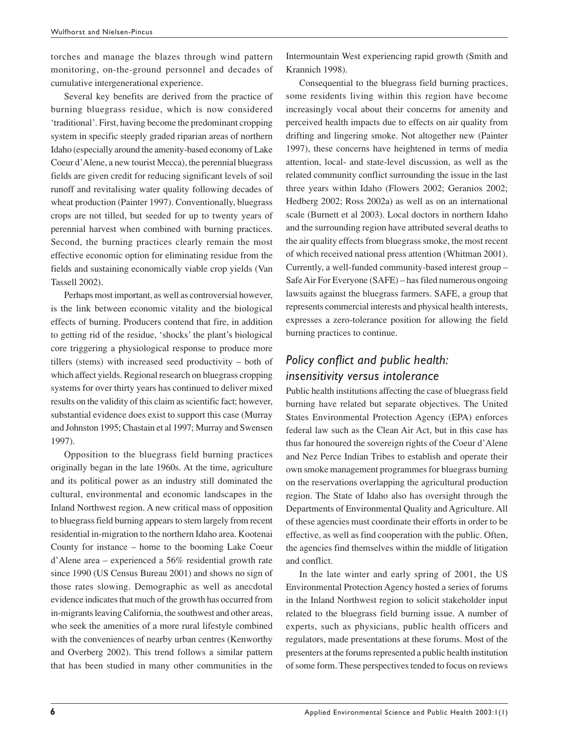torches and manage the blazes through wind pattern monitoring, on-the-ground personnel and decades of cumulative intergenerational experience.

Several key benefits are derived from the practice of burning bluegrass residue, which is now considered 'traditional'. First, having become the predominant cropping system in specific steeply graded riparian areas of northern Idaho (especially around the amenity-based economy of Lake Coeur d'Alene, a new tourist Mecca), the perennial bluegrass fields are given credit for reducing significant levels of soil runoff and revitalising water quality following decades of wheat production (Painter 1997). Conventionally, bluegrass crops are not tilled, but seeded for up to twenty years of perennial harvest when combined with burning practices. Second, the burning practices clearly remain the most effective economic option for eliminating residue from the fields and sustaining economically viable crop yields (Van Tassell 2002).

Perhaps most important, as well as controversial however, is the link between economic vitality and the biological effects of burning. Producers contend that fire, in addition to getting rid of the residue, 'shocks' the plant's biological core triggering a physiological response to produce more tillers (stems) with increased seed productivity – both of which affect yields. Regional research on bluegrass cropping systems for over thirty years has continued to deliver mixed results on the validity of this claim as scientific fact; however, substantial evidence does exist to support this case (Murray and Johnston 1995; Chastain et al 1997; Murray and Swensen 1997).

Opposition to the bluegrass field burning practices originally began in the late 1960s. At the time, agriculture and its political power as an industry still dominated the cultural, environmental and economic landscapes in the Inland Northwest region. A new critical mass of opposition to bluegrass field burning appears to stem largely from recent residential in-migration to the northern Idaho area. Kootenai County for instance – home to the booming Lake Coeur d'Alene area – experienced a 56% residential growth rate since 1990 (US Census Bureau 2001) and shows no sign of those rates slowing. Demographic as well as anecdotal evidence indicates that much of the growth has occurred from in-migrants leaving California, the southwest and other areas, who seek the amenities of a more rural lifestyle combined with the conveniences of nearby urban centres (Kenworthy and Overberg 2002). This trend follows a similar pattern that has been studied in many other communities in the

Intermountain West experiencing rapid growth (Smith and Krannich 1998).

Consequential to the bluegrass field burning practices, some residents living within this region have become increasingly vocal about their concerns for amenity and perceived health impacts due to effects on air quality from drifting and lingering smoke. Not altogether new (Painter 1997), these concerns have heightened in terms of media attention, local- and state-level discussion, as well as the related community conflict surrounding the issue in the last three years within Idaho (Flowers 2002; Geranios 2002; Hedberg 2002; Ross 2002a) as well as on an international scale (Burnett et al 2003). Local doctors in northern Idaho and the surrounding region have attributed several deaths to the air quality effects from bluegrass smoke, the most recent of which received national press attention (Whitman 2001). Currently, a well-funded community-based interest group – Safe Air For Everyone (SAFE) – has filed numerous ongoing lawsuits against the bluegrass farmers. SAFE, a group that represents commercial interests and physical health interests, expresses a zero-tolerance position for allowing the field burning practices to continue.

## *Policy conflict and public health: insensitivity versus intolerance*

Public health institutions affecting the case of bluegrass field burning have related but separate objectives. The United States Environmental Protection Agency (EPA) enforces federal law such as the Clean Air Act, but in this case has thus far honoured the sovereign rights of the Coeur d'Alene and Nez Perce Indian Tribes to establish and operate their own smoke management programmes for bluegrass burning on the reservations overlapping the agricultural production region. The State of Idaho also has oversight through the Departments of Environmental Quality and Agriculture. All of these agencies must coordinate their efforts in order to be effective, as well as find cooperation with the public. Often, the agencies find themselves within the middle of litigation and conflict.

In the late winter and early spring of 2001, the US Environmental Protection Agency hosted a series of forums in the Inland Northwest region to solicit stakeholder input related to the bluegrass field burning issue. A number of experts, such as physicians, public health officers and regulators, made presentations at these forums. Most of the presenters at the forums represented a public health institution of some form. These perspectives tended to focus on reviews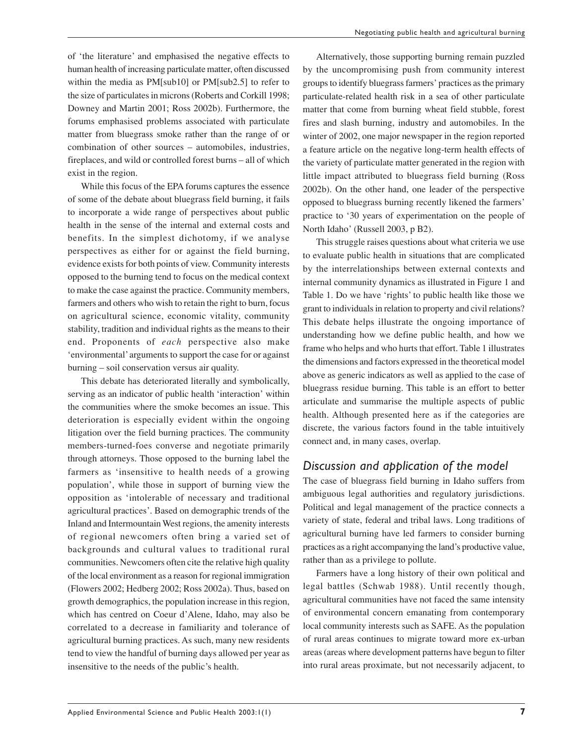of 'the literature' and emphasised the negative effects to human health of increasing particulate matter, often discussed within the media as PM[sub10] or PM[sub2.5] to refer to the size of particulates in microns (Roberts and Corkill 1998; Downey and Martin 2001; Ross 2002b). Furthermore, the forums emphasised problems associated with particulate matter from bluegrass smoke rather than the range of or combination of other sources – automobiles, industries, fireplaces, and wild or controlled forest burns – all of which exist in the region.

While this focus of the EPA forums captures the essence of some of the debate about bluegrass field burning, it fails to incorporate a wide range of perspectives about public health in the sense of the internal and external costs and benefits. In the simplest dichotomy, if we analyse perspectives as either for or against the field burning, evidence exists for both points of view. Community interests opposed to the burning tend to focus on the medical context to make the case against the practice. Community members, farmers and others who wish to retain the right to burn, focus on agricultural science, economic vitality, community stability, tradition and individual rights as the means to their end. Proponents of *each* perspective also make 'environmental' arguments to support the case for or against burning – soil conservation versus air quality.

This debate has deteriorated literally and symbolically, serving as an indicator of public health 'interaction' within the communities where the smoke becomes an issue. This deterioration is especially evident within the ongoing litigation over the field burning practices. The community members-turned-foes converse and negotiate primarily through attorneys. Those opposed to the burning label the farmers as 'insensitive to health needs of a growing population', while those in support of burning view the opposition as 'intolerable of necessary and traditional agricultural practices'. Based on demographic trends of the Inland and Intermountain West regions, the amenity interests of regional newcomers often bring a varied set of backgrounds and cultural values to traditional rural communities. Newcomers often cite the relative high quality of the local environment as a reason for regional immigration (Flowers 2002; Hedberg 2002; Ross 2002a). Thus, based on growth demographics, the population increase in this region, which has centred on Coeur d'Alene, Idaho, may also be correlated to a decrease in familiarity and tolerance of agricultural burning practices. As such, many new residents tend to view the handful of burning days allowed per year as insensitive to the needs of the public's health.

Alternatively, those supporting burning remain puzzled by the uncompromising push from community interest groups to identify bluegrass farmers' practices as the primary particulate-related health risk in a sea of other particulate matter that come from burning wheat field stubble, forest fires and slash burning, industry and automobiles. In the winter of 2002, one major newspaper in the region reported a feature article on the negative long-term health effects of the variety of particulate matter generated in the region with little impact attributed to bluegrass field burning (Ross 2002b). On the other hand, one leader of the perspective opposed to bluegrass burning recently likened the farmers' practice to '30 years of experimentation on the people of North Idaho' (Russell 2003, p B2).

This struggle raises questions about what criteria we use to evaluate public health in situations that are complicated by the interrelationships between external contexts and internal community dynamics as illustrated in Figure 1 and Table 1. Do we have 'rights' to public health like those we grant to individuals in relation to property and civil relations? This debate helps illustrate the ongoing importance of understanding how we define public health, and how we frame who helps and who hurts that effort. Table 1 illustrates the dimensions and factors expressed in the theoretical model above as generic indicators as well as applied to the case of bluegrass residue burning. This table is an effort to better articulate and summarise the multiple aspects of public health. Although presented here as if the categories are discrete, the various factors found in the table intuitively connect and, in many cases, overlap.

## *Discussion and application of the model*

The case of bluegrass field burning in Idaho suffers from ambiguous legal authorities and regulatory jurisdictions. Political and legal management of the practice connects a variety of state, federal and tribal laws. Long traditions of agricultural burning have led farmers to consider burning practices as a right accompanying the land's productive value, rather than as a privilege to pollute.

Farmers have a long history of their own political and legal battles (Schwab 1988). Until recently though, agricultural communities have not faced the same intensity of environmental concern emanating from contemporary local community interests such as SAFE. As the population of rural areas continues to migrate toward more ex-urban areas (areas where development patterns have begun to filter into rural areas proximate, but not necessarily adjacent, to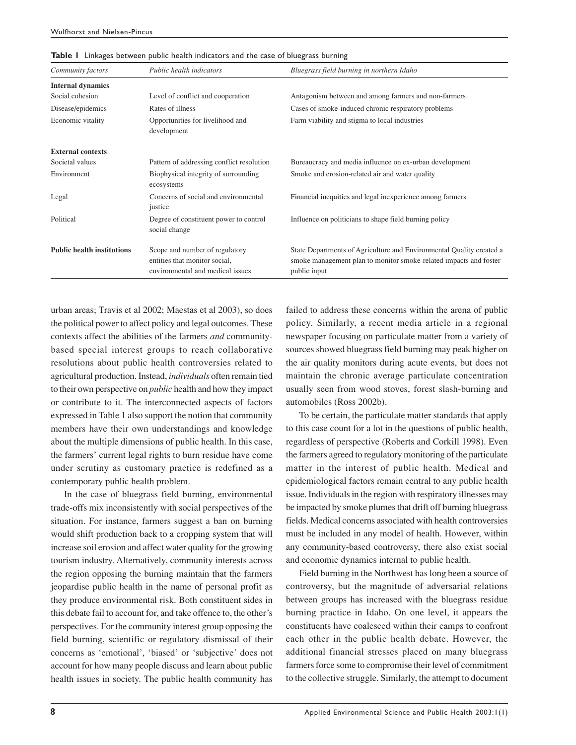| Community factors                 | Public health indicators                                                                            | Bluegrass field burning in northern Idaho                                                                                                                 |
|-----------------------------------|-----------------------------------------------------------------------------------------------------|-----------------------------------------------------------------------------------------------------------------------------------------------------------|
| <b>Internal dynamics</b>          |                                                                                                     |                                                                                                                                                           |
| Social cohesion                   | Level of conflict and cooperation                                                                   | Antagonism between and among farmers and non-farmers                                                                                                      |
| Disease/epidemics                 | Rates of illness                                                                                    | Cases of smoke-induced chronic respiratory problems                                                                                                       |
| Economic vitality                 | Opportunities for livelihood and<br>development                                                     | Farm viability and stigma to local industries                                                                                                             |
| <b>External contexts</b>          |                                                                                                     |                                                                                                                                                           |
| Societal values                   | Pattern of addressing conflict resolution                                                           | Bureaucracy and media influence on ex-urban development                                                                                                   |
| Environment                       | Biophysical integrity of surrounding<br>ecosystems                                                  | Smoke and erosion-related air and water quality                                                                                                           |
| Legal                             | Concerns of social and environmental<br>justice                                                     | Financial inequities and legal inexperience among farmers                                                                                                 |
| Political                         | Degree of constituent power to control<br>social change                                             | Influence on politicians to shape field burning policy                                                                                                    |
| <b>Public health institutions</b> | Scope and number of regulatory<br>entities that monitor social,<br>environmental and medical issues | State Departments of Agriculture and Environmental Quality created a<br>smoke management plan to monitor smoke-related impacts and foster<br>public input |

**Table 1** Linkages between public health indicators and the case of bluegrass burning

urban areas; Travis et al 2002; Maestas et al 2003), so does the political power to affect policy and legal outcomes. These contexts affect the abilities of the farmers *and* communitybased special interest groups to reach collaborative resolutions about public health controversies related to agricultural production. Instead, *individuals* often remain tied to their own perspective on *public* health and how they impact or contribute to it. The interconnected aspects of factors expressed in Table 1 also support the notion that community members have their own understandings and knowledge about the multiple dimensions of public health. In this case, the farmers' current legal rights to burn residue have come under scrutiny as customary practice is redefined as a contemporary public health problem.

In the case of bluegrass field burning, environmental trade-offs mix inconsistently with social perspectives of the situation. For instance, farmers suggest a ban on burning would shift production back to a cropping system that will increase soil erosion and affect water quality for the growing tourism industry. Alternatively, community interests across the region opposing the burning maintain that the farmers jeopardise public health in the name of personal profit as they produce environmental risk. Both constituent sides in this debate fail to account for, and take offence to, the other's perspectives. For the community interest group opposing the field burning, scientific or regulatory dismissal of their concerns as 'emotional', 'biased' or 'subjective' does not account for how many people discuss and learn about public health issues in society. The public health community has

failed to address these concerns within the arena of public policy. Similarly, a recent media article in a regional newspaper focusing on particulate matter from a variety of sources showed bluegrass field burning may peak higher on the air quality monitors during acute events, but does not maintain the chronic average particulate concentration usually seen from wood stoves, forest slash-burning and automobiles (Ross 2002b).

To be certain, the particulate matter standards that apply to this case count for a lot in the questions of public health, regardless of perspective (Roberts and Corkill 1998). Even the farmers agreed to regulatory monitoring of the particulate matter in the interest of public health. Medical and epidemiological factors remain central to any public health issue. Individuals in the region with respiratory illnesses may be impacted by smoke plumes that drift off burning bluegrass fields. Medical concerns associated with health controversies must be included in any model of health. However, within any community-based controversy, there also exist social and economic dynamics internal to public health.

Field burning in the Northwest has long been a source of controversy, but the magnitude of adversarial relations between groups has increased with the bluegrass residue burning practice in Idaho. On one level, it appears the constituents have coalesced within their camps to confront each other in the public health debate. However, the additional financial stresses placed on many bluegrass farmers force some to compromise their level of commitment to the collective struggle. Similarly, the attempt to document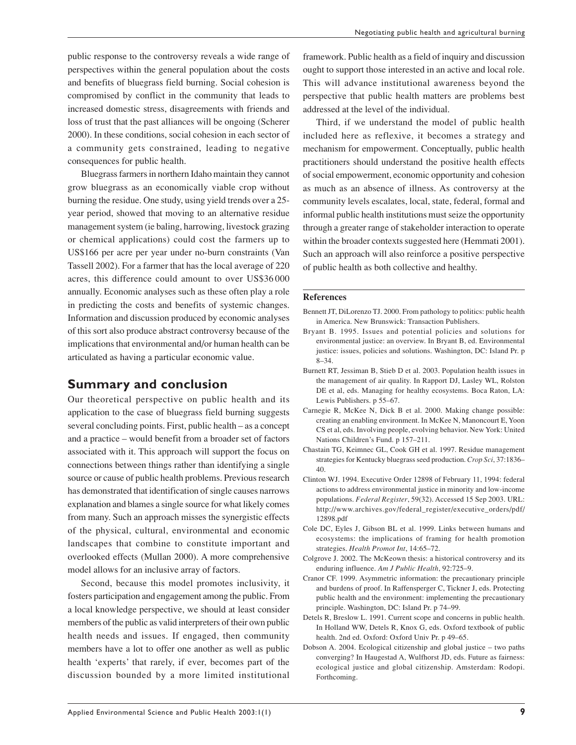public response to the controversy reveals a wide range of perspectives within the general population about the costs and benefits of bluegrass field burning. Social cohesion is compromised by conflict in the community that leads to increased domestic stress, disagreements with friends and loss of trust that the past alliances will be ongoing (Scherer 2000). In these conditions, social cohesion in each sector of a community gets constrained, leading to negative consequences for public health.

Bluegrass farmers in northern Idaho maintain they cannot grow bluegrass as an economically viable crop without burning the residue. One study, using yield trends over a 25 year period, showed that moving to an alternative residue management system (ie baling, harrowing, livestock grazing or chemical applications) could cost the farmers up to US\$166 per acre per year under no-burn constraints (Van Tassell 2002). For a farmer that has the local average of 220 acres, this difference could amount to over US\$36 000 annually. Economic analyses such as these often play a role in predicting the costs and benefits of systemic changes. Information and discussion produced by economic analyses of this sort also produce abstract controversy because of the implications that environmental and/or human health can be articulated as having a particular economic value.

## **Summary and conclusion**

Our theoretical perspective on public health and its application to the case of bluegrass field burning suggests several concluding points. First, public health – as a concept and a practice – would benefit from a broader set of factors associated with it. This approach will support the focus on connections between things rather than identifying a single source or cause of public health problems. Previous research has demonstrated that identification of single causes narrows explanation and blames a single source for what likely comes from many. Such an approach misses the synergistic effects of the physical, cultural, environmental and economic landscapes that combine to constitute important and overlooked effects (Mullan 2000). A more comprehensive model allows for an inclusive array of factors.

Second, because this model promotes inclusivity, it fosters participation and engagement among the public. From a local knowledge perspective, we should at least consider members of the public as valid interpreters of their own public health needs and issues. If engaged, then community members have a lot to offer one another as well as public health 'experts' that rarely, if ever, becomes part of the discussion bounded by a more limited institutional

framework. Public health as a field of inquiry and discussion ought to support those interested in an active and local role. This will advance institutional awareness beyond the perspective that public health matters are problems best addressed at the level of the individual.

Third, if we understand the model of public health included here as reflexive, it becomes a strategy and mechanism for empowerment. Conceptually, public health practitioners should understand the positive health effects of social empowerment, economic opportunity and cohesion as much as an absence of illness. As controversy at the community levels escalates, local, state, federal, formal and informal public health institutions must seize the opportunity through a greater range of stakeholder interaction to operate within the broader contexts suggested here (Hemmati 2001). Such an approach will also reinforce a positive perspective of public health as both collective and healthy.

#### **References**

- Bennett JT, DiLorenzo TJ. 2000. From pathology to politics: public health in America. New Brunswick: Transaction Publishers.
- Bryant B. 1995. Issues and potential policies and solutions for environmental justice: an overview. In Bryant B, ed. Environmental justice: issues, policies and solutions. Washington, DC: Island Pr. p 8–34.
- Burnett RT, Jessiman B, Stieb D et al. 2003. Population health issues in the management of air quality. In Rapport DJ, Lasley WL, Rolston DE et al, eds. Managing for healthy ecosystems. Boca Raton, LA: Lewis Publishers. p 55–67.
- Carnegie R, McKee N, Dick B et al. 2000. Making change possible: creating an enabling environment. In McKee N, Manoncourt E, Yoon CS et al, eds. Involving people, evolving behavior. New York: United Nations Children's Fund. p 157–211.
- Chastain TG, Keimnec GL, Cook GH et al. 1997. Residue management strategies for Kentucky bluegrass seed production. *Crop Sci*, 37:1836– 40.
- Clinton WJ. 1994. Executive Order 12898 of February 11, 1994: federal actions to address environmental justice in minority and low-income populations. *Federal Register*, 59(32). Accessed 15 Sep 2003. URL: http://www.archives.gov/federal\_register/executive\_orders/pdf/ 12898.pdf
- Cole DC, Eyles J, Gibson BL et al. 1999. Links between humans and ecosystems: the implications of framing for health promotion strategies. *Health Promot Int*, 14:65–72.
- Colgrove J. 2002. The McKeown thesis: a historical controversy and its enduring influence. *Am J Public Health*, 92:725–9.
- Cranor CF. 1999. Asymmetric information: the precautionary principle and burdens of proof. In Raffensperger C, Tickner J, eds. Protecting public health and the environment: implementing the precautionary principle. Washington, DC: Island Pr. p 74–99.
- Detels R, Breslow L. 1991. Current scope and concerns in public health. In Holland WW, Detels R, Knox G, eds. Oxford textbook of public health. 2nd ed. Oxford: Oxford Univ Pr. p 49–65.
- Dobson A. 2004. Ecological citizenship and global justice two paths converging? In Haugestad A, Wulfhorst JD, eds. Future as fairness: ecological justice and global citizenship. Amsterdam: Rodopi. Forthcoming.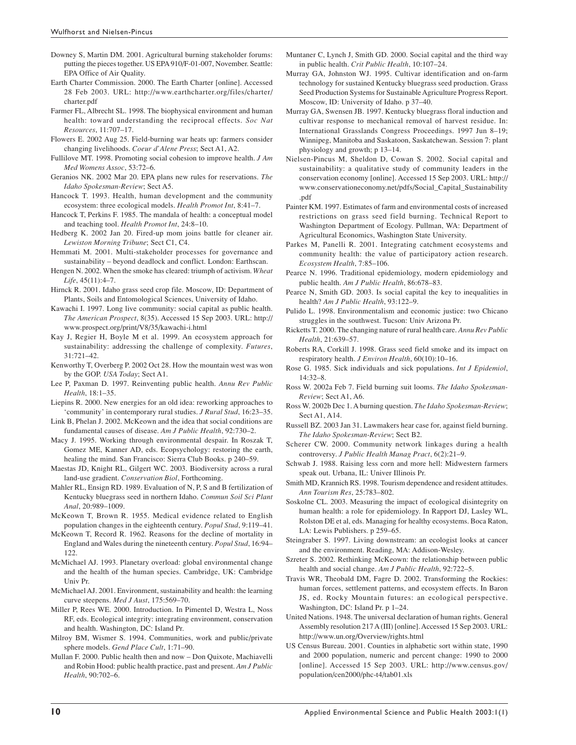- Downey S, Martin DM. 2001. Agricultural burning stakeholder forums: putting the pieces together. US EPA 910/F-01-007, November. Seattle: EPA Office of Air Quality.
- Earth Charter Commission. 2000. The Earth Charter [online]. Accessed 28 Feb 2003. URL: http://www.earthcharter.org/files/charter/ charter.pdf
- Farmer FL, Albrecht SL. 1998. The biophysical environment and human health: toward understanding the reciprocal effects. *Soc Nat Resources*, 11:707–17.
- Flowers E. 2002 Aug 25. Field-burning war heats up: farmers consider changing livelihoods. *Coeur d'Alene Press*; Sect A1, A2.
- Fullilove MT. 1998. Promoting social cohesion to improve health. *J Am Med Womens Assoc*, 53:72–6.
- Geranios NK. 2002 Mar 20. EPA plans new rules for reservations. *The Idaho Spokesman-Review*; Sect A5.
- Hancock T. 1993. Health, human development and the community ecosystem: three ecological models. *Health Promot Int*, 8:41–7.
- Hancock T, Perkins F. 1985. The mandala of health: a conceptual model and teaching tool. *Health Promot Int*, 24:8–10.
- Hedberg K. 2002 Jan 20. Fired-up mom joins battle for cleaner air. *Lewiston Morning Tribune*; Sect C1, C4.
- Hemmati M. 2001. Multi-stakeholder processes for governance and sustainability – beyond deadlock and conflict. London: Earthscan.
- Hengen N. 2002. When the smoke has cleared: triumph of activism. *Wheat Life*, 45(11):4–7.
- Hirnck R. 2001. Idaho grass seed crop file. Moscow, ID: Department of Plants, Soils and Entomological Sciences, University of Idaho.
- Kawachi I. 1997. Long live community: social capital as public health. *The American Prospect*, 8(35). Accessed 15 Sep 2003. URL: http:// www.prospect.org/print/V8/35/kawachi-i.html
- Kay J, Regier H, Boyle M et al. 1999. An ecosystem approach for sustainability: addressing the challenge of complexity. *Futures*, 31:721–42.
- Kenworthy T, Overberg P. 2002 Oct 28. How the mountain west was won by the GOP. *USA Today*; Sect A1.
- Lee P, Paxman D. 1997. Reinventing public health. *Annu Rev Public Health*, 18:1–35.
- Liepins R. 2000. New energies for an old idea: reworking approaches to 'community' in contemporary rural studies. *J Rural Stud*, 16:23–35.
- Link B, Phelan J. 2002. McKeown and the idea that social conditions are fundamental causes of disease. *Am J Public Health*, 92:730–2.
- Macy J. 1995. Working through environmental despair. In Roszak T, Gomez ME, Kanner AD, eds. Ecopsychology: restoring the earth, healing the mind. San Francisco: Sierra Club Books. p 240–59.
- Maestas JD, Knight RL, Gilgert WC. 2003. Biodiversity across a rural land-use gradient. *Conservation Biol*, Forthcoming.
- Mahler RL, Ensign RD. 1989. Evaluation of N, P, S and B fertilization of Kentucky bluegrass seed in northern Idaho. *Commun Soil Sci Plant Anal*, 20:989–1009.
- McKeown T, Brown R. 1955. Medical evidence related to English population changes in the eighteenth century. *Popul Stud*, 9:119–41.
- McKeown T, Record R. 1962. Reasons for the decline of mortality in England and Wales during the nineteenth century. *Popul Stud*, 16:94– 122.
- McMichael AJ. 1993. Planetary overload: global environmental change and the health of the human species. Cambridge, UK: Cambridge Univ Pr.
- McMichael AJ. 2001. Environment, sustainability and health: the learning curve steepens. *Med J Aust*, 175:569–70.
- Miller P, Rees WE. 2000. Introduction. In Pimentel D, Westra L, Noss RF, eds. Ecological integrity: integrating environment, conservation and health. Washington, DC: Island Pr.
- Milroy BM, Wismer S. 1994. Communities, work and public/private sphere models. *Gend Place Cult*, 1:71–90.
- Mullan F. 2000. Public health then and now Don Quixote, Machiavelli and Robin Hood: public health practice, past and present. *Am J Public Health*, 90:702–6.
- Muntaner C, Lynch J, Smith GD. 2000. Social capital and the third way in public health. *Crit Public Health*, 10:107–24.
- Murray GA, Johnston WJ. 1995. Cultivar identification and on-farm technology for sustained Kentucky bluegrass seed production. Grass Seed Production Systems for Sustainable Agriculture Progress Report. Moscow, ID: University of Idaho. p 37–40.
- Murray GA, Swensen JB. 1997. Kentucky bluegrass floral induction and cultivar response to mechanical removal of harvest residue. In: International Grasslands Congress Proceedings. 1997 Jun 8–19; Winnipeg, Manitoba and Saskatoon, Saskatchewan. Session 7: plant physiology and growth; p 13–14.
- Nielsen-Pincus M, Sheldon D, Cowan S. 2002. Social capital and sustainability: a qualitative study of community leaders in the conservation economy [online]. Accessed 15 Sep 2003. URL: http:// www.conservationeconomy.net/pdfs/Social\_Capital\_Sustainability .pdf
- Painter KM. 1997. Estimates of farm and environmental costs of increased restrictions on grass seed field burning. Technical Report to Washington Department of Ecology. Pullman, WA: Department of Agricultural Economics, Washington State University.
- Parkes M, Panelli R. 2001. Integrating catchment ecosystems and community health: the value of participatory action research. *Ecosystem Health*, 7:85–106.
- Pearce N. 1996. Traditional epidemiology, modern epidemiology and public health. *Am J Public Health*, 86:678–83.
- Pearce N, Smith GD. 2003. Is social capital the key to inequalities in health? *Am J Public Health*, 93:122–9.
- Pulido L. 1998. Environmentalism and economic justice: two Chicano struggles in the southwest. Tucson: Univ Arizona Pr.
- Ricketts T. 2000. The changing nature of rural health care. *Annu Rev Public Health*, 21:639–57.
- Roberts RA, Corkill J. 1998. Grass seed field smoke and its impact on respiratory health. *J Environ Health*, 60(10):10–16.
- Rose G. 1985. Sick individuals and sick populations. *Int J Epidemiol*, 14:32–8.
- Ross W. 2002a Feb 7. Field burning suit looms. *The Idaho Spokesman-Review*; Sect A1, A6.
- Ross W. 2002b Dec 1. A burning question. *The Idaho Spokesman-Review*; Sect A1, A14.
- Russell BZ. 2003 Jan 31. Lawmakers hear case for, against field burning. *The Idaho Spokesman-Review*; Sect B2.
- Scherer CW. 2000. Community network linkages during a health controversy. *J Public Health Manag Pract*, 6(2):21–9.
- Schwab J. 1988. Raising less corn and more hell: Midwestern farmers speak out. Urbana, IL: Univer Illinois Pr.
- Smith MD, Krannich RS. 1998. Tourism dependence and resident attitudes. *Ann Tourism Res*, 25:783–802.
- Soskolne CL. 2003. Measuring the impact of ecological disintegrity on human health: a role for epidemiology. In Rapport DJ, Lasley WL, Rolston DE et al, eds. Managing for healthy ecosystems. Boca Raton, LA: Lewis Publishers. p 259–65.
- Steingraber S. 1997. Living downstream: an ecologist looks at cancer and the environment. Reading, MA: Addison-Wesley.
- Szreter S. 2002. Rethinking McKeown: the relationship between public health and social change. *Am J Public Health*, 92:722–5.
- Travis WR, Theobald DM, Fagre D. 2002. Transforming the Rockies: human forces, settlement patterns, and ecosystem effects. In Baron JS, ed. Rocky Mountain futures: an ecological perspective. Washington, DC: Island Pr. p 1–24.
- United Nations. 1948. The universal declaration of human rights. General Assembly resolution 217 A (III) [online]. Accessed 15 Sep 2003. URL: http://www.un.org/Overview/rights.html
- US Census Bureau. 2001. Counties in alphabetic sort within state, 1990 and 2000 population, numeric and percent change: 1990 to 2000 [online]. Accessed 15 Sep 2003. URL: http://www.census.gov/ population/cen2000/phc-t4/tab01.xls